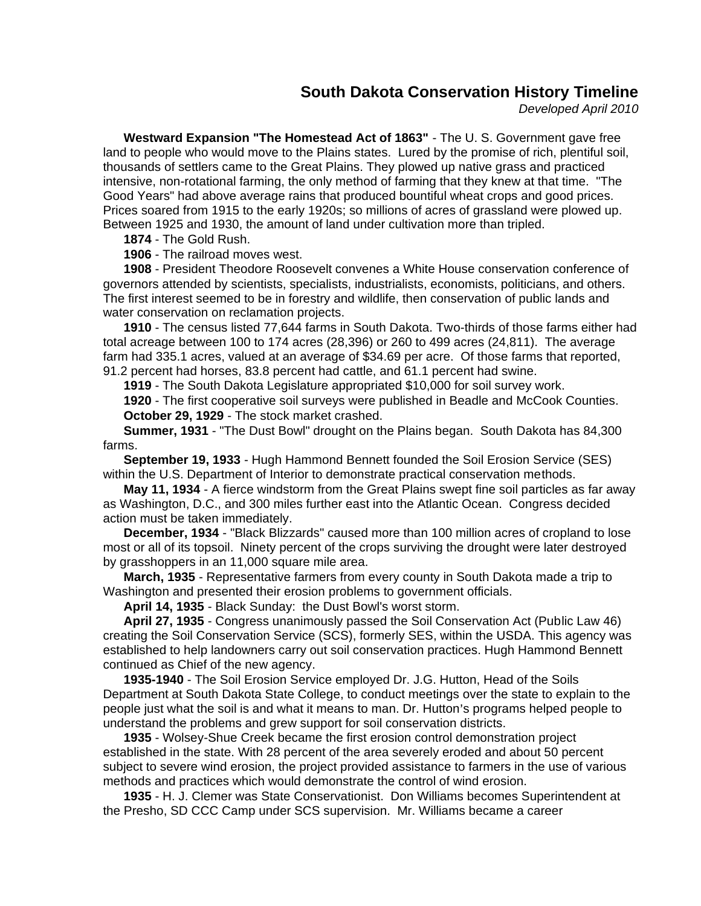## **South Dakota Conservation History Timeline**

*Developed April 2010* 

**Westward Expansion "The Homestead Act of 1863"** - The U. S. Government gave free land to people who would move to the Plains states. Lured by the promise of rich, plentiful soil, thousands of settlers came to the Great Plains. They plowed up native grass and practiced intensive, non-rotational farming, the only method of farming that they knew at that time. "The Good Years" had above average rains that produced bountiful wheat crops and good prices. Prices soared from 1915 to the early 1920s; so millions of acres of grassland were plowed up. Between 1925 and 1930, the amount of land under cultivation more than tripled.

**1874** - The Gold Rush.

**1906** - The railroad moves west.

**1908** - President Theodore Roosevelt convenes a White House conservation conference of governors attended by scientists, specialists, industrialists, economists, politicians, and others. The first interest seemed to be in forestry and wildlife, then conservation of public lands and water conservation on reclamation projects.

**1910** - The census listed 77,644 farms in South Dakota. Two-thirds of those farms either had total acreage between 100 to 174 acres (28,396) or 260 to 499 acres (24,811). The average farm had 335.1 acres, valued at an average of \$34.69 per acre. Of those farms that reported, 91.2 percent had horses, 83.8 percent had cattle, and 61.1 percent had swine.

**1919** - The South Dakota Legislature appropriated \$10,000 for soil survey work.

**1920** - The first cooperative soil surveys were published in Beadle and McCook Counties. **October 29, 1929** - The stock market crashed.

**Summer, 1931** - "The Dust Bowl" drought on the Plains began. South Dakota has 84,300 farms.

**September 19, 1933** - Hugh Hammond Bennett founded the Soil Erosion Service (SES) within the U.S. Department of Interior to demonstrate practical conservation methods.

**May 11, 1934** - A fierce windstorm from the Great Plains swept fine soil particles as far away as Washington, D.C., and 300 miles further east into the Atlantic Ocean. Congress decided action must be taken immediately.

**December, 1934** - "Black Blizzards" caused more than 100 million acres of cropland to lose most or all of its topsoil. Ninety percent of the crops surviving the drought were later destroyed by grasshoppers in an 11,000 square mile area.

**March, 1935** - Representative farmers from every county in South Dakota made a trip to Washington and presented their erosion problems to government officials.

**April 14, 1935** - Black Sunday: the Dust Bowl's worst storm.

**April 27, 1935** - Congress unanimously passed the Soil Conservation Act (Public Law 46) creating the Soil Conservation Service (SCS), formerly SES, within the USDA. This agency was established to help landowners carry out soil conservation practices. Hugh Hammond Bennett continued as Chief of the new agency.

**1935-1940** - The Soil Erosion Service employed Dr. J.G. Hutton, Head of the Soils Department at South Dakota State College, to conduct meetings over the state to explain to the people just what the soil is and what it means to man. Dr. Hutton's programs helped people to understand the problems and grew support for soil conservation districts.

**1935** - Wolsey-Shue Creek became the first erosion control demonstration project established in the state. With 28 percent of the area severely eroded and about 50 percent subject to severe wind erosion, the project provided assistance to farmers in the use of various methods and practices which would demonstrate the control of wind erosion.

**1935** - H. J. Clemer was State Conservationist. Don Williams becomes Superintendent at the Presho, SD CCC Camp under SCS supervision. Mr. Williams became a career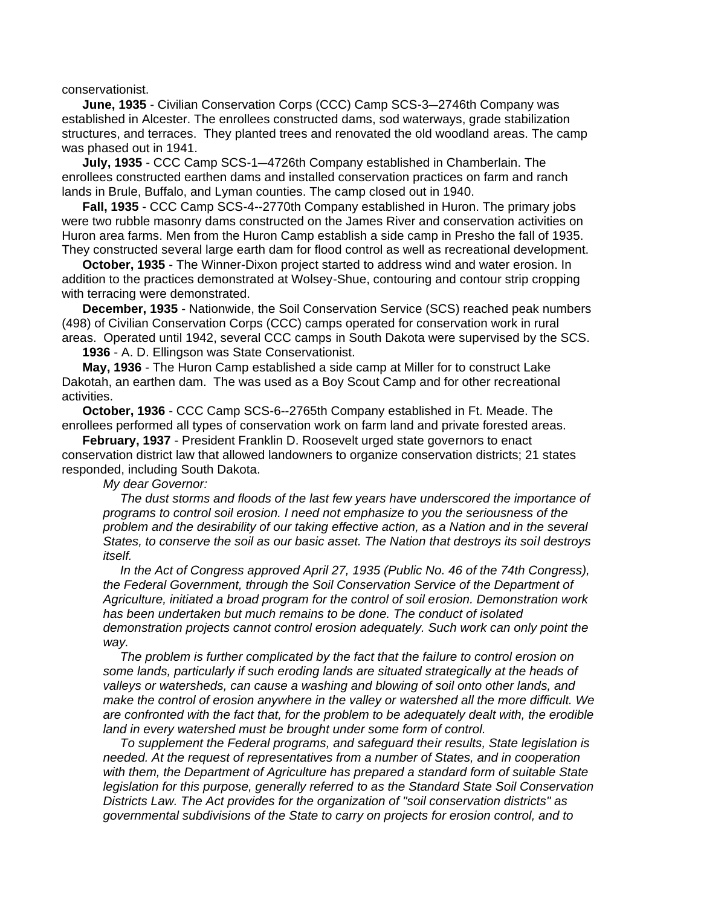conservationist.

**June, 1935** - Civilian Conservation Corps (CCC) Camp SCS-3-2746th Company was established in Alcester. The enrollees constructed dams, sod waterways, grade stabilization structures, and terraces. They planted trees and renovated the old woodland areas. The camp was phased out in 1941.

**July, 1935** - CCC Camp SCS-1-4726th Company established in Chamberlain. The enrollees constructed earthen dams and installed conservation practices on farm and ranch lands in Brule, Buffalo, and Lyman counties. The camp closed out in 1940.

**Fall, 1935** - CCC Camp SCS-4--2770th Company established in Huron. The primary jobs were two rubble masonry dams constructed on the James River and conservation activities on Huron area farms. Men from the Huron Camp establish a side camp in Presho the fall of 1935. They constructed several large earth dam for flood control as well as recreational development.

**October, 1935** - The Winner-Dixon project started to address wind and water erosion. In addition to the practices demonstrated at Wolsey-Shue, contouring and contour strip cropping with terracing were demonstrated.

**December, 1935** - Nationwide, the Soil Conservation Service (SCS) reached peak numbers (498) of Civilian Conservation Corps (CCC) camps operated for conservation work in rural areas. Operated until 1942, several CCC camps in South Dakota were supervised by the SCS.

**1936** - A. D. Ellingson was State Conservationist.

**May, 1936** - The Huron Camp established a side camp at Miller for to construct Lake Dakotah, an earthen dam. The was used as a Boy Scout Camp and for other recreational activities.

**October, 1936** - CCC Camp SCS-6--2765th Company established in Ft. Meade. The enrollees performed all types of conservation work on farm land and private forested areas.

**February, 1937** - President Franklin D. Roosevelt urged state governors to enact conservation district law that allowed landowners to organize conservation districts; 21 states responded, including South Dakota.

*My dear Governor:*

 *The dust storms and floods of the last few years have underscored the importance of programs to control soil erosion. I need not emphasize to you the seriousness of the problem and the desirability of our taking effective action, as a Nation and in the several States, to conserve the soil as our basic asset. The Nation that destroys its soil destroys itself.*

 *In the Act of Congress approved April 27, 1935 (Public No. 46 of the 74th Congress), the Federal Government, through the Soil Conservation Service of the Department of Agriculture, initiated a broad program for the control of soil erosion. Demonstration work has been undertaken but much remains to be done. The conduct of isolated demonstration projects cannot control erosion adequately. Such work can only point the way.*

 *The problem is further complicated by the fact that the failure to control erosion on some lands, particularly if such eroding lands are situated strategically at the heads of valleys or watersheds, can cause a washing and blowing of soil onto other lands, and make the control of erosion anywhere in the valley or watershed all the more difficult. We are confronted with the fact that, for the problem to be adequately dealt with, the erodible land in every watershed must be brought under some form of control.*

 *To supplement the Federal programs, and safeguard their results, State legislation is needed. At the request of representatives from a number of States, and in cooperation with them, the Department of Agriculture has prepared a standard form of suitable State legislation for this purpose, generally referred to as the Standard State Soil Conservation Districts Law. The Act provides for the organization of "soil conservation districts" as governmental subdivisions of the State to carry on projects for erosion control, and to*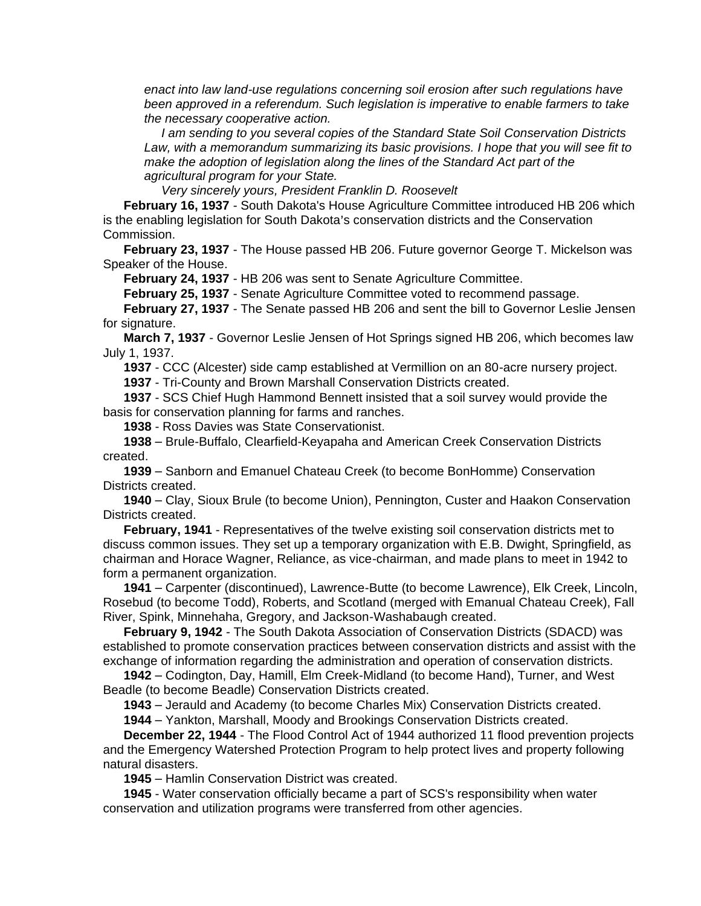*enact into law land-use regulations concerning soil erosion after such regulations have been approved in a referendum. Such legislation is imperative to enable farmers to take the necessary cooperative action.*

 *I am sending to you several copies of the Standard State Soil Conservation Districts Law, with a memorandum summarizing its basic provisions. I hope that you will see fit to make the adoption of legislation along the lines of the Standard Act part of the agricultural program for your State.*

 *Very sincerely yours, President Franklin D. Roosevelt*

**February 16, 1937** - South Dakota's House Agriculture Committee introduced HB 206 which is the enabling legislation for South Dakota's conservation districts and the Conservation Commission.

**February 23, 1937** - The House passed HB 206. Future governor George T. Mickelson was Speaker of the House.

**February 24, 1937** - HB 206 was sent to Senate Agriculture Committee.

**February 25, 1937** - Senate Agriculture Committee voted to recommend passage.

**February 27, 1937** - The Senate passed HB 206 and sent the bill to Governor Leslie Jensen for signature.

**March 7, 1937** - Governor Leslie Jensen of Hot Springs signed HB 206, which becomes law July 1, 1937.

**1937** - CCC (Alcester) side camp established at Vermillion on an 80-acre nursery project.

**1937** - Tri-County and Brown Marshall Conservation Districts created.

**1937** - SCS Chief Hugh Hammond Bennett insisted that a soil survey would provide the basis for conservation planning for farms and ranches.

**1938** - Ross Davies was State Conservationist.

**1938** – Brule-Buffalo, Clearfield-Keyapaha and American Creek Conservation Districts created.

**1939** – Sanborn and Emanuel Chateau Creek (to become BonHomme) Conservation Districts created.

**1940** – Clay, Sioux Brule (to become Union), Pennington, Custer and Haakon Conservation Districts created.

**February, 1941** - Representatives of the twelve existing soil conservation districts met to discuss common issues. They set up a temporary organization with E.B. Dwight, Springfield, as chairman and Horace Wagner, Reliance, as vice-chairman, and made plans to meet in 1942 to form a permanent organization.

**1941** – Carpenter (discontinued), Lawrence-Butte (to become Lawrence), Elk Creek, Lincoln, Rosebud (to become Todd), Roberts, and Scotland (merged with Emanual Chateau Creek), Fall River, Spink, Minnehaha, Gregory, and Jackson-Washabaugh created.

**February 9, 1942** - The South Dakota Association of Conservation Districts (SDACD) was established to promote conservation practices between conservation districts and assist with the exchange of information regarding the administration and operation of conservation districts.

**1942** – Codington, Day, Hamill, Elm Creek-Midland (to become Hand), Turner, and West Beadle (to become Beadle) Conservation Districts created.

**1943** – Jerauld and Academy (to become Charles Mix) Conservation Districts created.

**1944** – Yankton, Marshall, Moody and Brookings Conservation Districts created.

**December 22, 1944** - The Flood Control Act of 1944 authorized 11 flood prevention projects and the Emergency Watershed Protection Program to help protect lives and property following natural disasters.

**1945** – Hamlin Conservation District was created.

**1945** - Water conservation officially became a part of SCS's responsibility when water conservation and utilization programs were transferred from other agencies.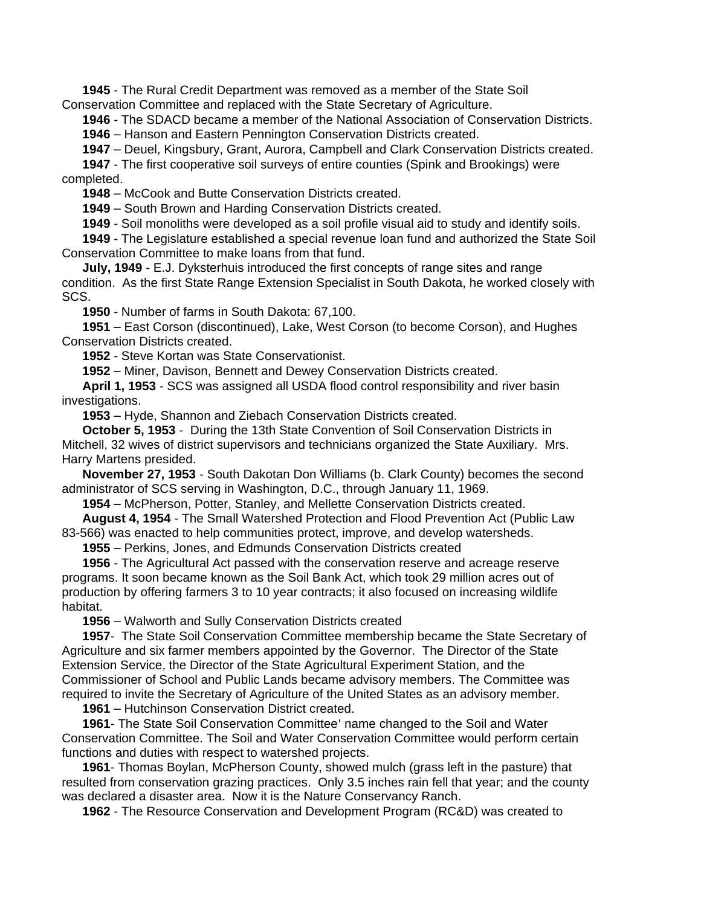**1945** - The Rural Credit Department was removed as a member of the State Soil Conservation Committee and replaced with the State Secretary of Agriculture.

**1946** - The SDACD became a member of the National Association of Conservation Districts.

**1946** – Hanson and Eastern Pennington Conservation Districts created.

**1947** – Deuel, Kingsbury, Grant, Aurora, Campbell and Clark Conservation Districts created.

**1947** - The first cooperative soil surveys of entire counties (Spink and Brookings) were completed.

**1948** – McCook and Butte Conservation Districts created.

**1949** – South Brown and Harding Conservation Districts created.

**1949** - Soil monoliths were developed as a soil profile visual aid to study and identify soils.

**1949** - The Legislature established a special revenue loan fund and authorized the State Soil Conservation Committee to make loans from that fund.

**July, 1949** - E.J. Dyksterhuis introduced the first concepts of range sites and range condition. As the first State Range Extension Specialist in South Dakota, he worked closely with SCS.

**1950** - Number of farms in South Dakota: 67,100.

**1951** – East Corson (discontinued), Lake, West Corson (to become Corson), and Hughes Conservation Districts created.

**1952** - Steve Kortan was State Conservationist.

**1952** – Miner, Davison, Bennett and Dewey Conservation Districts created.

**April 1, 1953** - SCS was assigned all USDA flood control responsibility and river basin investigations.

**1953** – Hyde, Shannon and Ziebach Conservation Districts created.

**October 5, 1953** - During the 13th State Convention of Soil Conservation Districts in Mitchell, 32 wives of district supervisors and technicians organized the State Auxiliary. Mrs. Harry Martens presided.

**November 27, 1953** - South Dakotan Don Williams (b. Clark County) becomes the second administrator of SCS serving in Washington, D.C., through January 11, 1969.

**1954** – McPherson, Potter, Stanley, and Mellette Conservation Districts created.

**August 4, 1954** - The Small Watershed Protection and Flood Prevention Act (Public Law 83-566) was enacted to help communities protect, improve, and develop watersheds.

**1955** – Perkins, Jones, and Edmunds Conservation Districts created

**1956** - The Agricultural Act passed with the conservation reserve and acreage reserve programs. It soon became known as the Soil Bank Act, which took 29 million acres out of production by offering farmers 3 to 10 year contracts; it also focused on increasing wildlife habitat.

**1956** – Walworth and Sully Conservation Districts created

**1957**- The State Soil Conservation Committee membership became the State Secretary of Agriculture and six farmer members appointed by the Governor. The Director of the State Extension Service, the Director of the State Agricultural Experiment Station, and the Commissioner of School and Public Lands became advisory members. The Committee was required to invite the Secretary of Agriculture of the United States as an advisory member.

**1961** – Hutchinson Conservation District created.

**1961**- The State Soil Conservation Committee' name changed to the Soil and Water Conservation Committee. The Soil and Water Conservation Committee would perform certain functions and duties with respect to watershed projects.

**1961**- Thomas Boylan, McPherson County, showed mulch (grass left in the pasture) that resulted from conservation grazing practices. Only 3.5 inches rain fell that year; and the county was declared a disaster area. Now it is the Nature Conservancy Ranch.

**1962** - The Resource Conservation and Development Program (RC&D) was created to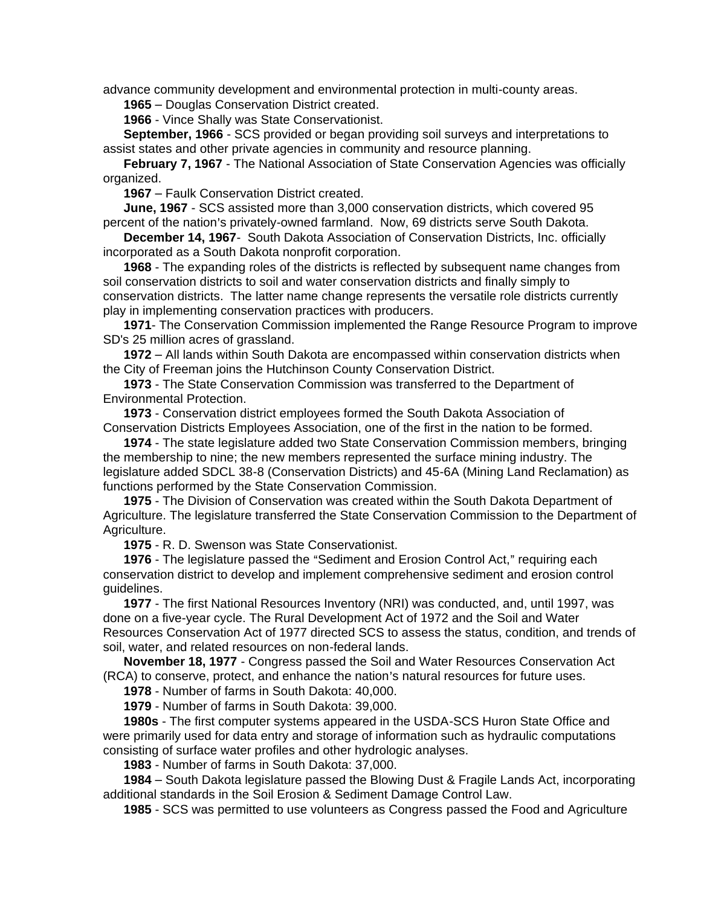advance community development and environmental protection in multi-county areas.

**1965** – Douglas Conservation District created.

**1966** - Vince Shally was State Conservationist.

**September, 1966** - SCS provided or began providing soil surveys and interpretations to assist states and other private agencies in community and resource planning.

**February 7, 1967** - The National Association of State Conservation Agencies was officially organized.

**1967** – Faulk Conservation District created.

**June, 1967** - SCS assisted more than 3,000 conservation districts, which covered 95 percent of the nation's privately-owned farmland. Now, 69 districts serve South Dakota.

**December 14, 1967**- South Dakota Association of Conservation Districts, Inc. officially incorporated as a South Dakota nonprofit corporation.

**1968** - The expanding roles of the districts is reflected by subsequent name changes from soil conservation districts to soil and water conservation districts and finally simply to conservation districts. The latter name change represents the versatile role districts currently play in implementing conservation practices with producers.

**1971**- The Conservation Commission implemented the Range Resource Program to improve SD's 25 million acres of grassland.

**1972** – All lands within South Dakota are encompassed within conservation districts when the City of Freeman joins the Hutchinson County Conservation District.

**1973** - The State Conservation Commission was transferred to the Department of Environmental Protection.

**1973** - Conservation district employees formed the South Dakota Association of Conservation Districts Employees Association, one of the first in the nation to be formed.

**1974** - The state legislature added two State Conservation Commission members, bringing the membership to nine; the new members represented the surface mining industry. The legislature added SDCL 38-8 (Conservation Districts) and 45-6A (Mining Land Reclamation) as functions performed by the State Conservation Commission.

**1975** - The Division of Conservation was created within the South Dakota Department of Agriculture. The legislature transferred the State Conservation Commission to the Department of Agriculture.

**1975** - R. D. Swenson was State Conservationist.

**1976** - The legislature passed the "Sediment and Erosion Control Act," requiring each conservation district to develop and implement comprehensive sediment and erosion control guidelines.

**1977** - The first National Resources Inventory (NRI) was conducted, and, until 1997, was done on a five-year cycle. The Rural Development Act of 1972 and the Soil and Water Resources Conservation Act of 1977 directed SCS to assess the status, condition, and trends of soil, water, and related resources on non-federal lands.

**November 18, 1977** - Congress passed the Soil and Water Resources Conservation Act (RCA) to conserve, protect, and enhance the nation's natural resources for future uses.

**1978** - Number of farms in South Dakota: 40,000.

**1979** - Number of farms in South Dakota: 39,000.

**1980s** - The first computer systems appeared in the USDA-SCS Huron State Office and were primarily used for data entry and storage of information such as hydraulic computations consisting of surface water profiles and other hydrologic analyses.

**1983** - Number of farms in South Dakota: 37,000.

**1984** – South Dakota legislature passed the Blowing Dust & Fragile Lands Act, incorporating additional standards in the Soil Erosion & Sediment Damage Control Law.

**1985** - SCS was permitted to use volunteers as Congress passed the Food and Agriculture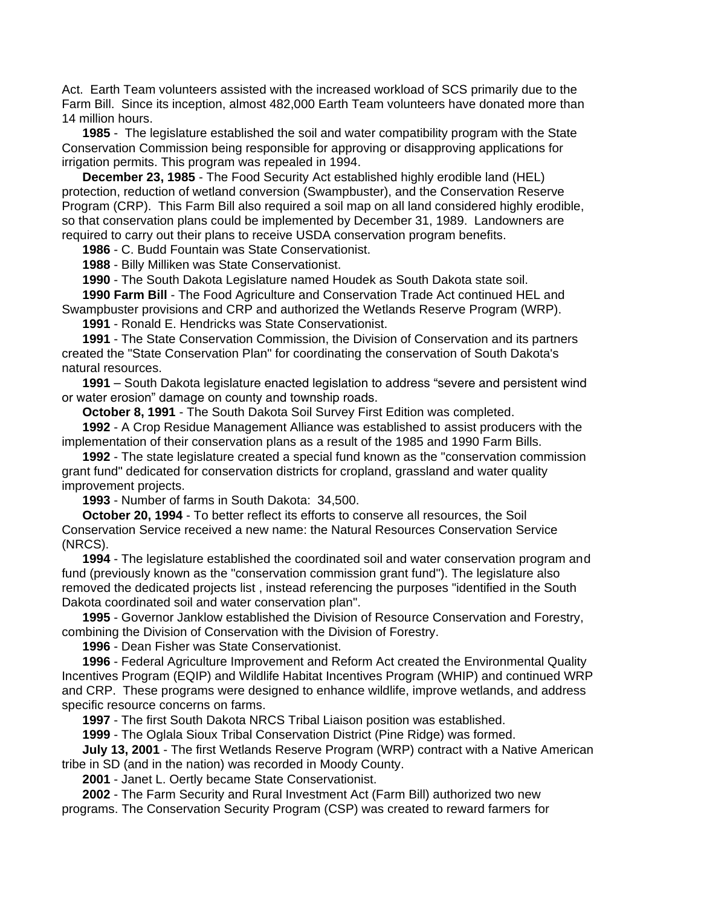Act. Earth Team volunteers assisted with the increased workload of SCS primarily due to the Farm Bill. Since its inception, almost 482,000 Earth Team volunteers have donated more than 14 million hours.

**1985** - The legislature established the soil and water compatibility program with the State Conservation Commission being responsible for approving or disapproving applications for irrigation permits. This program was repealed in 1994.

**December 23, 1985** - The Food Security Act established highly erodible land (HEL) protection, reduction of wetland conversion (Swampbuster), and the Conservation Reserve Program (CRP). This Farm Bill also required a soil map on all land considered highly erodible, so that conservation plans could be implemented by December 31, 1989. Landowners are required to carry out their plans to receive USDA conservation program benefits.

**1986** - C. Budd Fountain was State Conservationist.

**1988** - Billy Milliken was State Conservationist.

**1990** - The South Dakota Legislature named Houdek as South Dakota state soil.

**1990 Farm Bill** - The Food Agriculture and Conservation Trade Act continued HEL and Swampbuster provisions and CRP and authorized the Wetlands Reserve Program (WRP).

**1991** - Ronald E. Hendricks was State Conservationist.

**1991** - The State Conservation Commission, the Division of Conservation and its partners created the "State Conservation Plan" for coordinating the conservation of South Dakota's natural resources.

**1991** – South Dakota legislature enacted legislation to address "severe and persistent wind or water erosion" damage on county and township roads.

**October 8, 1991** - The South Dakota Soil Survey First Edition was completed.

**1992** - A Crop Residue Management Alliance was established to assist producers with the implementation of their conservation plans as a result of the 1985 and 1990 Farm Bills.

**1992** - The state legislature created a special fund known as the "conservation commission grant fund" dedicated for conservation districts for cropland, grassland and water quality improvement projects.

**1993** - Number of farms in South Dakota: 34,500.

**October 20, 1994** - To better reflect its efforts to conserve all resources, the Soil Conservation Service received a new name: the Natural Resources Conservation Service (NRCS).

**1994** - The legislature established the coordinated soil and water conservation program and fund (previously known as the "conservation commission grant fund"). The legislature also removed the dedicated projects list , instead referencing the purposes "identified in the South Dakota coordinated soil and water conservation plan".

**1995** - Governor Janklow established the Division of Resource Conservation and Forestry, combining the Division of Conservation with the Division of Forestry.

**1996** - Dean Fisher was State Conservationist.

**1996** - Federal Agriculture Improvement and Reform Act created the Environmental Quality Incentives Program (EQIP) and Wildlife Habitat Incentives Program (WHIP) and continued WRP and CRP. These programs were designed to enhance wildlife, improve wetlands, and address specific resource concerns on farms.

**1997** - The first South Dakota NRCS Tribal Liaison position was established.

**1999** - The Oglala Sioux Tribal Conservation District (Pine Ridge) was formed.

**July 13, 2001** - The first Wetlands Reserve Program (WRP) contract with a Native American tribe in SD (and in the nation) was recorded in Moody County.

**2001** - Janet L. Oertly became State Conservationist.

**2002** - The Farm Security and Rural Investment Act (Farm Bill) authorized two new programs. The Conservation Security Program (CSP) was created to reward farmers for